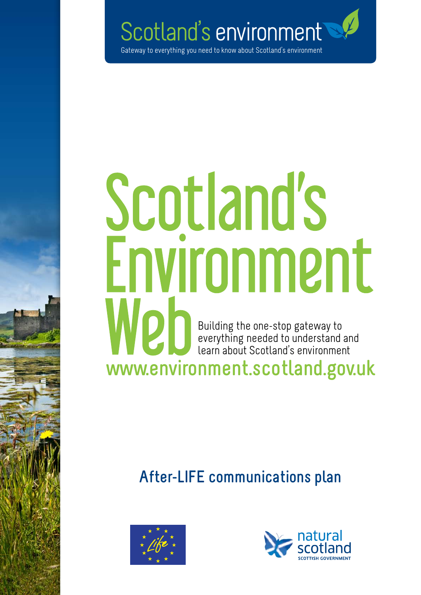

# Scotland's Environment Building the one-stop gateway to everything needed to understand and learn about Scotland's environment **www.environment.scotland.gov.uk**

### **After-LIFE communications plan**



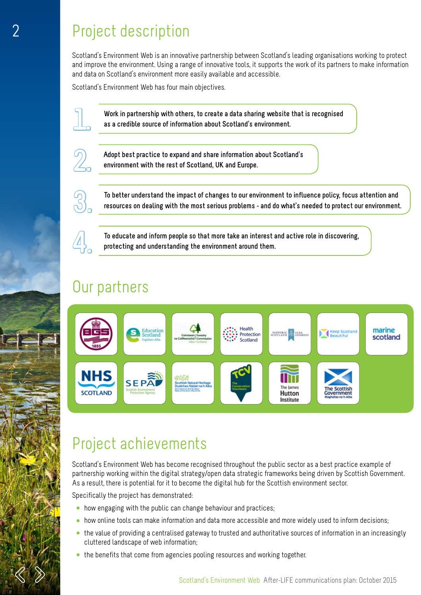### Project description

Scotland's Environment Web is an innovative partnership between Scotland's leading organisations working to protect and improve the environment. Using a range of innovative tools, it supports the work of its partners to make information and data on Scotland's environment more easily available and accessible.

Scotland's Environment Web has four main objectives.

 $\overline{a}$ 

**Work in partnership with others, to create a data sharing website that is recognised 1. as a credible source of information about Scotland's environment.**



**Adopt best practice to expand and share information about Scotland's 2. environment with the rest of Scotland, UK and Europe.**

rni **To better understand the impact of changes to our environment to influence policy, focus attention and 3. resources on dealing with the most serious problems - and do what's needed to protect our environment.**

L

i

To educate and inform people so that more take an interest and active role in discovering,<br>protecting and understanding the environment around them.

### Our partners



## Project achievements

Scotland's Environment Web has become recognised throughout the public sector as a best practice example of partnership working within the digital strategy/open data strategic frameworks being driven by Scottish Government. As a result, there is potential for it to become the digital hub for the Scottish environment sector.

Specifically the project has demonstrated:

- how engaging with the public can change behaviour and practices;
- $\bullet\;$  how online tools can make information and data more accessible and more widely used to inform decisions; ٔ
- the value of providing a centralised gateway to trusted and authoritative sources of information in an increasingly cluttered landscape of web information;
- the benefits that come from agencies pooling resources and working together.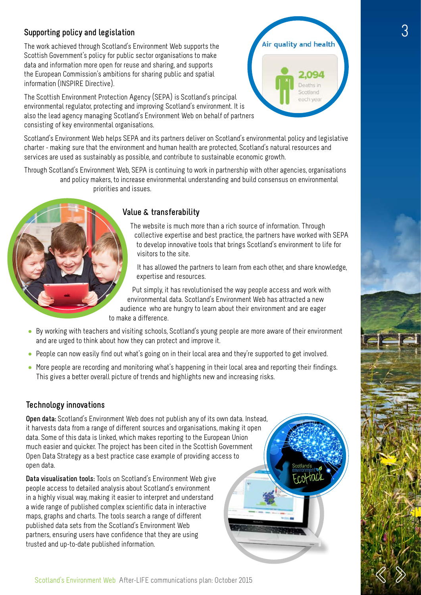**Supporting policy and legislation**<br>The work eshieved through Sectlend's Environment Web supports the **30 April 2016** Air quality and health The work achieved through Scotland's Environment Web supports the Scottish Government's policy for public sector organisations to make data and information more open for reuse and sharing, and supports the European Commission's ambitions for sharing public and spatial information (INSPIRE Directive).

The Scottish Environment Protection Agency (SEPA) is Scotland's principal environmental regulator, protecting and improving Scotland's environment. It is also the lead agency managing Scotland's Environment Web on behalf of partners consisting of key environmental organisations.

Scotland's Environment Web helps SEPA and its partners deliver on Scotland's environmental policy and legislative charter - making sure that the environment and human health are protected, Scotland's natural resources and services are used as sustainably as possible, and contribute to sustainable economic growth.

Through Scotland's Environment Web, SEPA is continuing to work in partnership with other agencies, organisations and policy makers, to increase environmental understanding and build consensus on environmental priorities and issues.

#### **Value & transferability**

The website is much more than a rich source of information. Through collective expertise and best practice, the partners have worked with SEPA to develop innovative tools that brings Scotland's environment to life for visitors to the site.

**Deaths in** Scotland each yea

Ecoftack

It has allowed the partners to learn from each other, and share knowledge, expertise and resources.

Put simply, it has revolutionised the way people access and work with environmental data. Scotland's Environment Web has attracted a new audience who are hungry to learn about their environment and are eager to make a difference.

- By working with teachers and visiting schools, Scotland's young people are more aware of their environment and are urged to think about how they can protect and improve it.
- People can now easily find out what's going on in their local area and they're supported to get involved.
- More people are recording and monitoring what's happening in their local area and reporting their findings. This gives a better overall picture of trends and highlights new and increasing risks.

#### **Technology innovations**

**Open data:** Scotland's Environment Web does not publish any of its own data. Instead, it harvests data from a range of different sources and organisations, making it open data. Some of this data is linked, which makes reporting to the European Union much easier and quicker. The project has been cited in the Scottish Government Open Data Strategy as a best practice case example of providing access to open data.

**Data visualisation tools:** Tools on Scotland's Environment Web give people access to detailed analysis about Scotland's environment in a highly visual way, making it easier to interpret and understand a wide range of published complex scientific data in interactive maps, graphs and charts. The tools search a range of different published data sets from the Scotland's Environment Web partners, ensuring users have confidence that they are using trusted and up-to-date published information.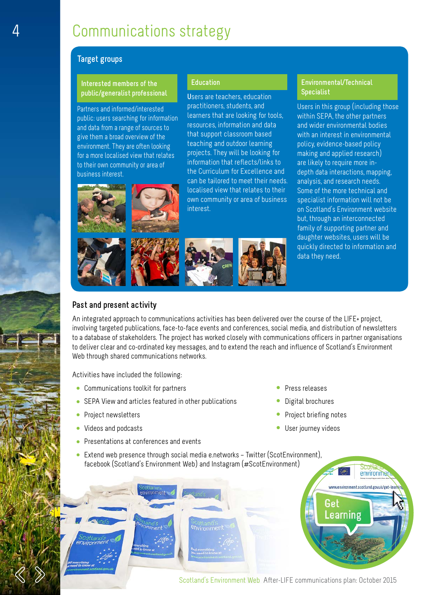### Communications strategy

### **Target groups**

#### **Interested members of the public/generalist professional**

Partners and informed/interested public: users searching for information and data from a range of sources to give them a broad overview of the environment. They are often looking for a more localised view that relates to their own community or area of business interest.









**Education**

**U**sers are teachers, education practitioners, students, and learners that are looking for tools, resources, information and data that support classroom based teaching and outdoor learning projects. They will be looking for information that reflects/links to the Curriculum for Excellence and



#### **Environmental/Technical Specialist**

Users in this group (including those within SEPA, the other partners and wider environmental bodies with an interest in environmental policy, evidence-based policy making and applied research) are likely to require more indepth data interactions, mapping, analysis, and research needs. Some of the more technical and specialist information will not be on Scotland's Environment website but, through an interconnected family of supporting partner and daughter websites, users will be quickly directed to information and data they need.

### **Past and present activity**

An integrated approach to communications activities has been delivered over the course of the LIFE+ project, involving targeted publications, face-to-face events and conferences, social media, and distribution of newsletters to a database of stakeholders. The project has worked closely with communications officers in partner organisations to deliver clear and co-ordinated key messages, and to extend the reach and influence of Scotland's Environment Web through shared communications networks.

Activities have included the following:

- Communications toolkit for partners **••** Press releases
- SEPA View and articles featured in other publications **•** Digital brochures
- 
- 
- Presentations at conferences and events
- 
- 
- Project newsletters **•** Project briefing notes
- Videos and podcasts **•** User journey videos

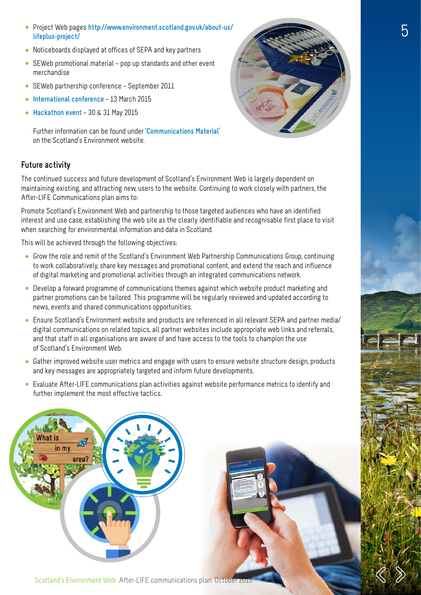- 5 Project Web pages **[http://www.environment.scotland.gov.uk/about-us/](http://www.environment.scotland.gov.uk/about-us/lifeplus-project/) [lifeplus-project/](http://www.environment.scotland.gov.uk/about-us/lifeplus-project/)**
- Noticeboards displayed at offices of SEPA and key partners
- SEWeb promotional material pop up standards and other event merchandise
- SEWeb partnership conference September 2011
- **[International conference](http://www.environment.scotland.gov.uk/international-event/)**  13 March 2015
- **[Hackathon event](http://www.environment.scotland.gov.uk/ecohack-update/)**  30 & 31 May 2015

Further information can be found under '**[Communications Material](http://www.environment.scotland.gov.uk/about-us/lifeplus-project/lifeplus-publications/)**' on the Scotland's Environment website.

#### **Future activity**

The continued success and future development of Scotland's Environment Web is largely dependent on maintaining existing, and attracting new, users to the website. Continuing to work closely with partners, the After-LIFE Communications plan aims to:

Promote Scotland's Environment Web and partnership to those targeted audiences who have an identified interest and use case, establishing the web site as the clearly identifiable and recognisable first place to visit when searching for environmental information and data in Scotland.

This will be achieved through the following objectives:

- Grow the role and remit of the Scotland's Environment Web Partnership Communications Group, continuing to work collaboratively, share key messages and promotional content, and extend the reach and influence of digital marketing and promotional activities through an integrated communications network.
- Develop a forward programme of communications themes against which website product marketing and partner promotions can be tailored. This programme will be regularly reviewed and updated according to news, events and shared communications opportunities.
- Ensure Scotland's Environment website and products are referenced in all relevant SEPA and partner media/ digital communications on related topics, all partner websites include appropriate web links and referrals, and that staff in all organisations are aware of and have access to the tools to champion the use of Scotland's Environment Web.
- Gather improved website user metrics and engage with users to ensure website structure design, products and key messages are appropriately targeted and inform future developments.
- Evaluate After-LIFE communications plan activities against website performance metrics to identify and further implement the most effective tactics.





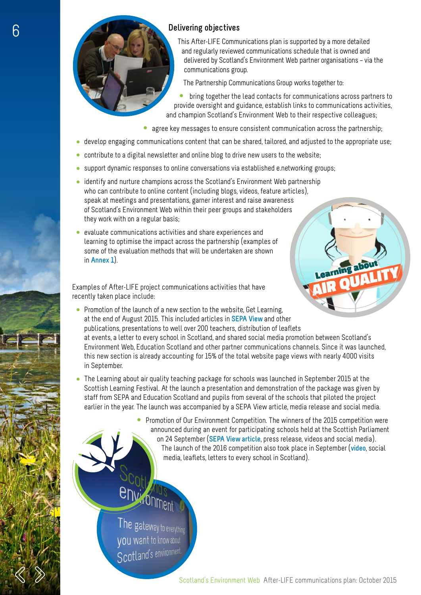### **Delivering objectives**

This After-LIFE Communications plan is supported by a more detailed and regularly reviewed communications schedule that is owned and delivered by Scotland's Environment Web partner organisations – via the communications group.

The Partnership Communications Group works together to:

**•** bring together the lead contacts for communications across partners to provide oversight and guidance, establish links to communications activities, and champion Scotland's Environment Web to their respective colleagues;

- **•** agree key messages to ensure consistent communication across the partnership;
- develop engaging communications content that can be shared, tailored, and adjusted to the appropriate use;
- contribute to a digital newsletter and online blog to drive new users to the website;
- support dynamic responses to online conversations via established e.networking groups;
- identify and nurture champions across the Scotland's Environment Web partnership who can contribute to online content (including blogs, videos, feature articles), speak at meetings and presentations, garner interest and raise awareness of Scotland's Environment Web within their peer groups and stakeholders they work with on a regular basis;
- evaluate communications activities and share experiences and learning to optimise the impact across the partnership (examples of some of the evaluation methods that will be undertaken are shown in **[Annex 1](#page-6-0)**).

Examples of After-LIFE project communications activities that have recently taken place include:



- Promotion of the launch of a new section to the website, Get Learning, at the end of August 2015. This included articles in **[SEPA View](http://www.sepaview.com/2015/09/get-learning-solving-the-data-problem-for-teachers/)** and other publications, presentations to well over 200 teachers, distribution of leaflets at events, a letter to every school in Scotland, and shared social media promotion between Scotland's Environment Web, Education Scotland and other partner communications channels. Since it was launched, this new section is already accounting for 15% of the total website page views with nearly 4000 visits in September.
- The Learning about air quality teaching package for schools was launched in September 2015 at the Scottish Learning Festival. At the launch a presentation and demonstration of the package was given by staff from SEPA and Education Scotland and pupils from several of the schools that piloted the project earlier in the year. The launch was accompanied by a SEPA View article, media release and social media.

**•** Promotion of Our Environment Competition. The winners of the 2015 competition were announced during an event for participating schools held at the Scottish Parliament on 24 September (**[SEPA View article](scotlands-young-people-awarded-for-great-eco-ideas)**, press release, videos and social media). The launch of the 2016 competition also took place in September (**[video](OCBDr0xviko)**, social media, leaflets, letters to every school in Scotland).

The gateway to everything Scotland's environment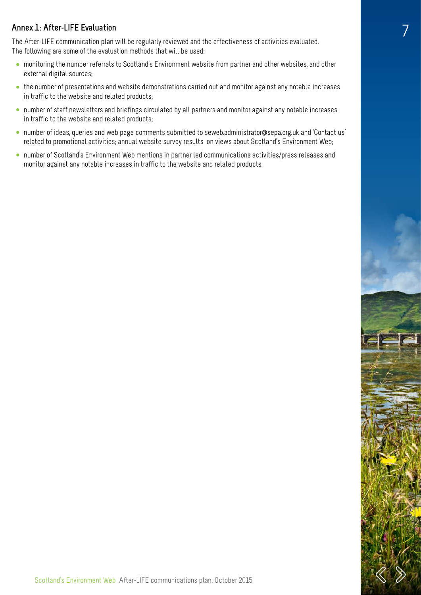### <span id="page-6-0"></span>7 **Annex 1 : After-LIFE Evaluation**

The After-LIFE communication plan will be regularly reviewed and the effectiveness of activities evaluated. The following are some of the evaluation methods that will be used:

- monitoring the number referrals to Scotland's Environment website from partner and other websites, and other external digital sources;
- the number of presentations and website demonstrations carried out and monitor against any notable increases in traffic to the website and related products;
- number of staff newsletters and briefings circulated by all partners and monitor against any notable increases in traffic to the website and related products;
- number of ideas, queries and web page comments submitted to seweb.administrator@sepa.org.uk and 'Contact us' related to promotional activities; annual website survey results on views about Scotland's Environment Web;
- number of Scotland's Environment Web mentions in partner led communications activities/press releases and monitor against any notable increases in traffic to the website and related products.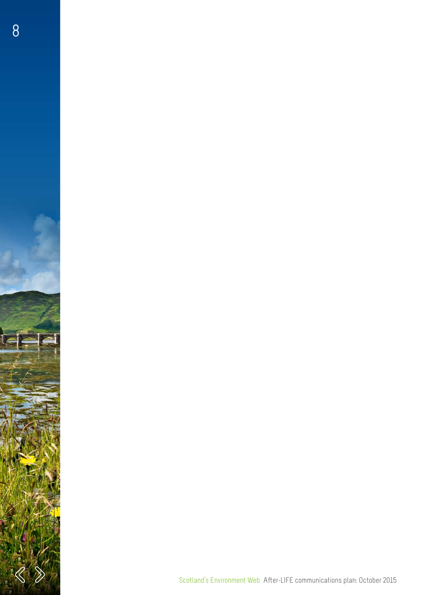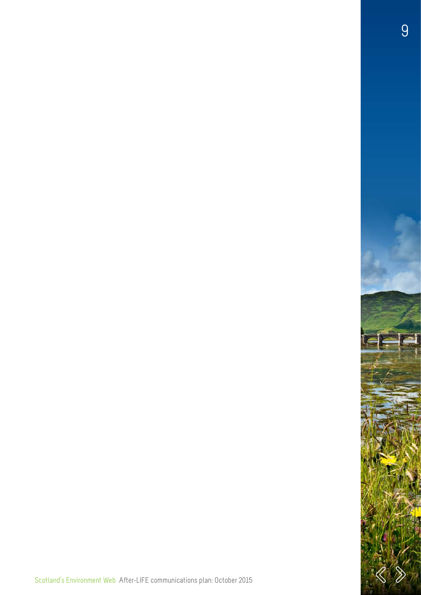

[Scotland's Environment Web](http://www.environment.scotland.gov.uk) After-LIFE communications plan: October 2015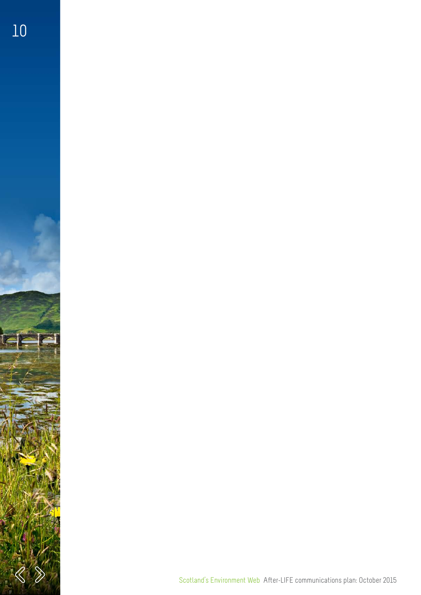